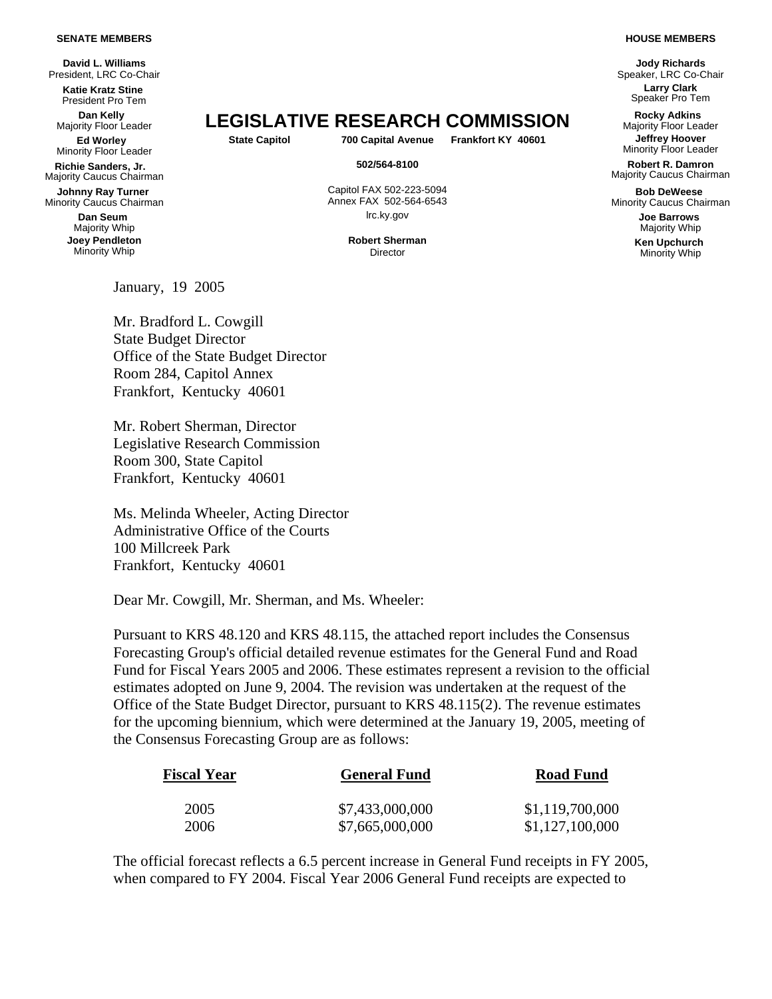## **SENATE MEMBERS**

**David L. Williams**  President, LRC Co-Chair **Katie Kratz Stine**

President Pro Tem

**Dan Kelly<br>Majority Floor Leader Ed Worley** 

Minority Floor Leader

**Richie Sanders, Jr.** Majority Caucus Chairman

**Johnny Ray Turner** Minority Caucus Chairman

> **Dan Seum** Majority Whip **Joev Pendleton** Minority Whip

Majority Floor Leader **LEGISLATIVE RESEARCH COMMISSION Rocky Adkins** Majority Floor Leader

**State Capitol 700 Capital Avenue Frankfort KY 40601 Jeffrey Hoover** 

Capitol FAX 502-223-5094 Annex FAX 502-564-6543 lrc.ky.gov **Joe Barrows**

**Robert Sherman** Director

January, 19 2005

Mr. Bradford L. Cowgill State Budget Director Office of the State Budget Director Room 284, Capitol Annex Frankfort, Kentucky 40601

Mr. Robert Sherman, Director Legislative Research Commission Room 300, State Capitol Frankfort, Kentucky 40601

Ms. Melinda Wheeler, Acting Director Administrative Office of the Courts 100 Millcreek Park Frankfort, Kentucky 40601

Dear Mr. Cowgill, Mr. Sherman, and Ms. Wheeler:

Pursuant to KRS 48.120 and KRS 48.115, the attached report includes the Consensus Forecasting Group's official detailed revenue estimates for the General Fund and Road Fund for Fiscal Years 2005 and 2006. These estimates represent a revision to the official estimates adopted on June 9, 2004. The revision was undertaken at the request of the Office of the State Budget Director, pursuant to KRS 48.115(2). The revenue estimates for the upcoming biennium, which were determined at the January 19, 2005, meeting of the Consensus Forecasting Group are as follows:

| <b>Fiscal Year</b> | <b>General Fund</b> | <b>Road Fund</b> |
|--------------------|---------------------|------------------|
| 2005               | \$7,433,000,000     | \$1,119,700,000  |
| 2006               | \$7,665,000,000     | \$1,127,100,000  |

The official forecast reflects a 6.5 percent increase in General Fund receipts in FY 2005, when compared to FY 2004. Fiscal Year 2006 General Fund receipts are expected to

## **HOUSE MEMBERS**

**Jody Richards**  Speaker, LRC Co-Chair **Larry Clark**  Speaker Pro Tem

Minority Floor Leader

**502/564-8100 Robert R. Damron**  Majority Caucus Chairman

> **Bob DeWeese** Minority Caucus Chairman

> > Majority Whip **Ken Upchurch** Minority Whip